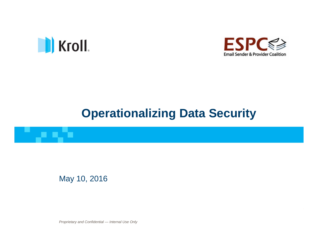

a a Sa



# **Operationalizing Data Security**

May 10, 2016

*Proprietary and Confidential — Internal Use Only Proprietary and Confidential — Internal Use Only*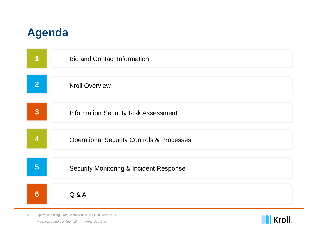## **Agenda**

|                         | <b>Bio and Contact Information</b>                   |
|-------------------------|------------------------------------------------------|
| $\overline{2}$          | <b>Kroll Overview</b>                                |
| $\overline{3}$          | <b>Information Security Risk Assessment</b>          |
| $\overline{\mathbf{4}}$ | <b>Operational Security Controls &amp; Processes</b> |
| 5                       | <b>Security Monitoring &amp; Incident Response</b>   |
| 6                       | Q & A                                                |

*Proprietary and Confidential — Internal Use Only* 2 Operationalizing Data Security ■ KROLL ■ MAY 2016

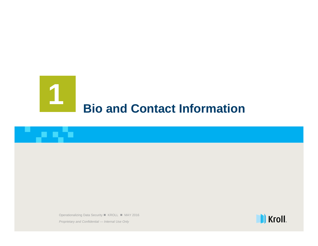# 1**Bio and Contact Information**

3 Operationalizing Data Security KROLL MAY 2016 Operationalizing Data Security KROLL MAY 2016

*Proprietary and Confidential — Internal Use Only Proprietary and Confidential — Internal Use Only*

un alta

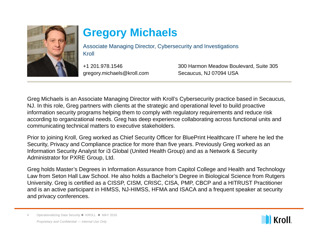

# **Gregory Michaels**

Associate Managing Director, Cybersecurity and Investigations Kroll

+1 201.978.1546gregory.michaels@kroll.com 300 Harmon Meadow Boulevard, Suite 305 Secaucus, NJ 07094 USA

Greg Michaels is an Associate Managing Director with Kroll's Cybersecurity practice based in Secaucus, NJ. In this role, Greg partners with clients at the strategic and operational level to build proactive information security programs helping them to comply with regulatory requirements and reduce risk according to organizational needs. Greg has deep experience collaborating across functional units and communicating technical matters to executive stakeholders.

Prior to joining Kroll, Greg worked as Chief Security Officer for BluePrint Healthcare IT where he led the Security, Privacy and Compliance practice for more than five years. Previously Greg worked as an Information Security Analyst for i3 Global (United Health Group) and as a Network & Security Administrator for PXRE Group, Ltd.

Greg holds Master's Degrees in Information Assurance from Capitol College and Health and Technology Law from Seton Hall Law School. He also holds a Bachelor's Degree in Biological Science from Rutgers University. Greg is certified as a CISSP, CISM, CRISC, CISA, PMP, CBCP and a HITRUST Practitioner and is an active participant in HIMSS, NJ-HIMSS, HFMA and ISACA and a frequent speaker at security and privacy conferences.

*Proprietary and Confidential — Internal Use Only* 4 Operationalizing Data Security ■ KROLL ■ MAY 2016

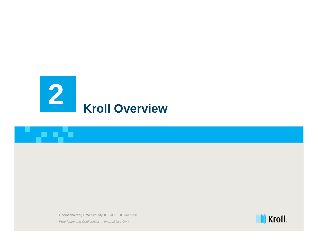

5 Operationalizing Data Security KROLL MAY 2016 Operationalizing Data Security KROLL MAY 2016

*Proprietary and Confidential — Internal Use Only Proprietary and Confidential — Internal Use Only*

un din

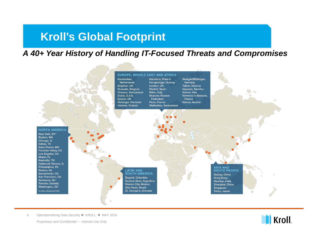### **Kroll's Global Footprint**

#### *A 40+ Year History of Handling IT-Focused Threats and Compromises*



*Proprietary and Confidential — Internal Use Only* 6 Operationalizing Data Security KROLL MAY 2016

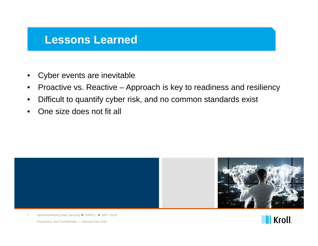### **Lessons Learned**

- •Cyber events are inevitable
- •Proactive vs. Reactive – Approach is key to readiness and resiliency
- •Difficult to quantify cyber risk, and no common standards exist
- •One size does not fit all





*Proprietary and Confidential — Internal Use Only* 7 Operationalizing Data Security ■ KROLL ■ MAY 2016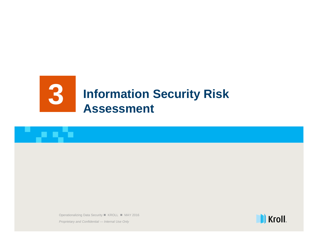

8 Operationalizing Data Security KROLL MAY 2016 Operationalizing Data Security KROLL MAY 2016

*Proprietary and Confidential — Internal Use Only Proprietary and Confidential — Internal Use Only*

an ata

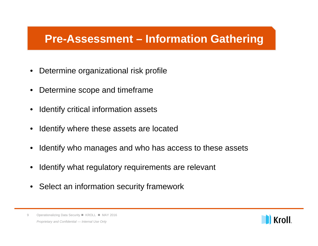### **Pre-Assessment – Information Gathering**

- •Determine organizational risk profile
- •Determine scope and timeframe
- •Identify critical information assets
- •Identify where these assets are located
- •Identify who manages and who has access to these assets
- •Identify what regulatory requirements are relevant
- Select an information security framework



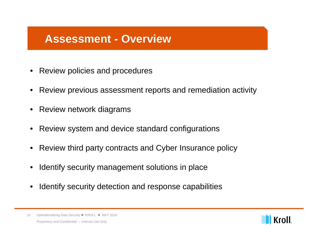### **Assessment - Overview**

- •Review policies and procedures
- •Review previous assessment reports and remediation activity
- Review network diagrams
- Review system and device standard configurations
- Review third party contracts and Cyber Insurance policy
- •Identify security management solutions in place
- $\bullet$ Identify security detection and response capabilities

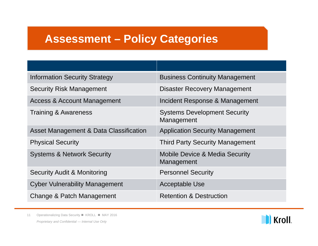### **Assessment – Policy Categories**

| <b>Information Security Strategy</b>   | <b>Business Continuity Management</b>                   |
|----------------------------------------|---------------------------------------------------------|
| <b>Security Risk Management</b>        | <b>Disaster Recovery Management</b>                     |
| <b>Access &amp; Account Management</b> | Incident Response & Management                          |
| <b>Training &amp; Awareness</b>        | <b>Systems Development Security</b><br>Management       |
| Asset Management & Data Classification | <b>Application Security Management</b>                  |
| <b>Physical Security</b>               | <b>Third Party Security Management</b>                  |
| <b>Systems &amp; Network Security</b>  | <b>Mobile Device &amp; Media Security</b><br>Management |
| <b>Security Audit &amp; Monitoring</b> | <b>Personnel Security</b>                               |
| <b>Cyber Vulnerability Management</b>  | <b>Acceptable Use</b>                                   |
| Change & Patch Management              | <b>Retention &amp; Destruction</b>                      |

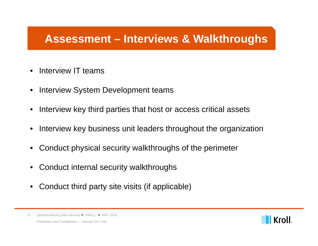### **Assessment – Interviews & Walkthroughs**

- •Interview IT teams
- •Interview System Development teams
- •Interview key third parties that host or access critical assets
- •Interview key business unit leaders throughout the organization
- •Conduct physical security walkthroughs of the perimeter
- Conduct internal security walkthroughs
- Conduct third party site visits (if applicable)



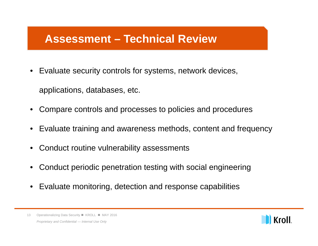### **Assessment – Technical Review**

• Evaluate security controls for systems, network devices,

applications, databases, etc.

- •Compare controls and processes to policies and procedures
- Evaluate training and awareness methods, content and frequency
- •Conduct routine vulnerability assessments
- •Conduct periodic penetration testing with social engineering
- Evaluate monitoring, detection and response capabilities

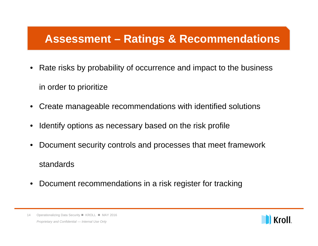### **Assessment – Ratings & Recommendations**

- Rate risks by probability of occurrence and impact to the business in order to prioritize
- •Create manageable recommendations with identified solutions
- •Identify options as necessary based on the risk profile
- • Document security controls and processes that meet framework standards
- •Document recommendations in a risk register for tracking

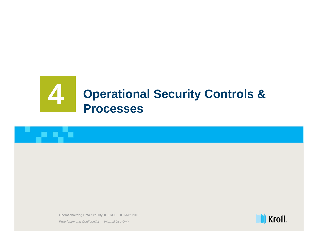# **Operational Security Controls & Processes**

15 Operationalizing Data Security KROLL MAY 2016 Operationalizing Data Security KROLL MAY 2016

*Proprietary and Confidential — Internal Use Only Proprietary and Confidential — Internal Use Only*

an kata

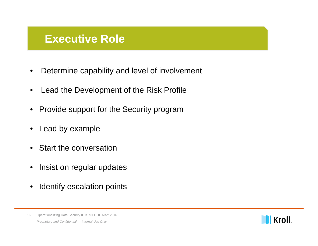### **Executive Role**

- •Determine capability and level of involvement
- •Lead the Development of the Risk Profile
- Provide support for the Security program
- Lead by example
- $\bullet$ Start the conversation
- $\bullet$ Insist on regular updates
- $\bullet$ Identify escalation points



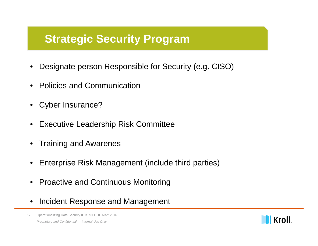### **Strategic Security Program**

- •Designate person Responsible for Security (e.g. CISO)
- •Policies and Communication
- •Cyber Insurance?
- •Executive Leadership Risk Committee
- $\bullet$ Training and Awarenes
- •Enterprise Risk Management (include third parties)
- •Proactive and Continuous Monitoring
- •Incident Response and Management

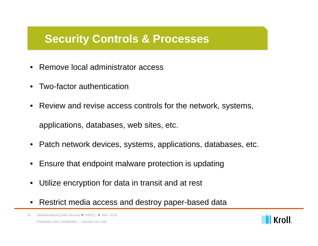### **Security Controls & Processes**

- •Remove local administrator access
- •Two-factor authentication
- • Review and revise access controls for the network, systems, applications, databases, web sites, etc.
- Patch network devices, systems, applications, databases, etc.
- $\bullet$ Ensure that endpoint malware protection is updating
- •Utilize encryption for data in transit and at rest
- •Restrict media access and destroy paper-based data

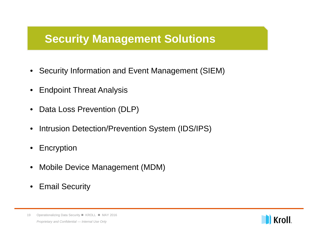### **Security Management Solutions**

- Security Information and Event Management (SIEM)
- •Endpoint Threat Analysis
- •Data Loss Prevention (DLP)
- •Intrusion Detection/Prevention System (IDS/IPS)
- $\bullet$ Encryption
- $\bullet$ Mobile Device Management (MDM)
- Email Security



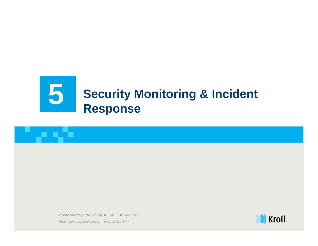# **Security Monitoring & Incident** 5**Response**

20 Operationalizing Data Security KROLL MAY 2016 Operationalizing Data Security KROLL MAY 2016

*Proprietary and Confidential — Internal Use Only Proprietary and Confidential — Internal Use Only*

a nito

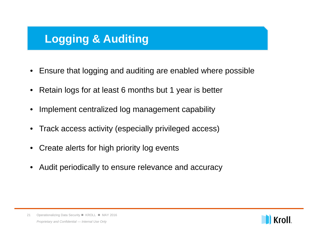## **Logging & Auditing**

- •Ensure that logging and auditing are enabled where possible
- Retain logs for at least 6 months but 1 year is better
- •Implement centralized log management capability
- •Track access activity (especially privileged access)
- •Create alerts for high priority log events
- •Audit periodically to ensure relevance and accuracy

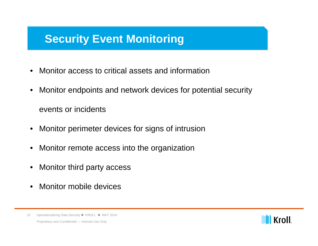### **Security Event Monitoring**

- •Monitor access to critical assets and information
- • Monitor endpoints and network devices for potential security events or incidents
- Monitor perimeter devices for signs of intrusion
- Monitor remote access into the organization
- Monitor third party access
- $\bullet$ Monitor mobile devices



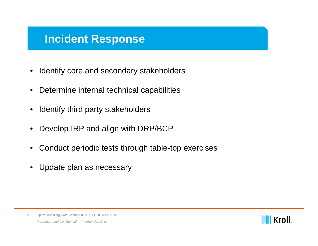### **Incident Response**

- $\bullet$ Identify core and secondary stakeholders
- •Determine internal technical capabilities
- $\bullet$ Identify third party stakeholders
- •Develop IRP and align with DRP/BCP
- $\bullet$ Conduct periodic tests through table-top exercises
- $\bullet$ Update plan as necessary

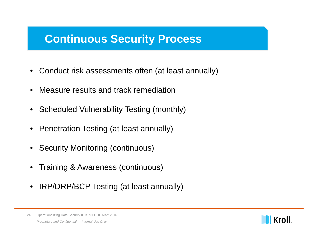### **Continuous Security Process**

- Conduct risk assessments often (at least annually)
- •Measure results and track remediation
- Scheduled Vulnerability Testing (monthly)
- Penetration Testing (at least annually)
- Security Monitoring (continuous)
- Training & Awareness (continuous)
- IRP/DRP/BCP Testing (at least annually)

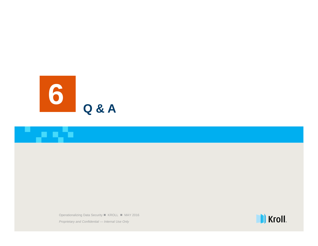

an din

25 Operationalizing Data Security KROLL MAY 2016 Operationalizing Data Security KROLL MAY 2016

*Proprietary and Confidential — Internal Use Only Proprietary and Confidential — Internal Use Only*